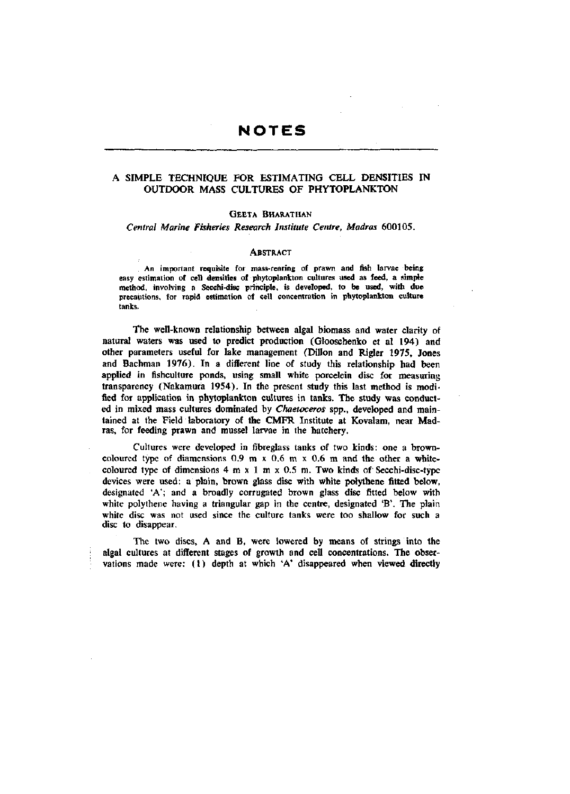# **NOTES**

## A SIMPLE TECHNIQUE FOR ESTIMATING CELL DENSITIES IN OUTDOOR MASS CULTURES OF PHYTOPLANKTON

### GEETA BHARATHAN

*Central Marine Fisheries Research Institute Centre, Madras* 600105.

#### **ABSTRACT**

An important requisite for mass-rearing of prawn and fish larvae being easy estimation of cell densities of phytoplankton cultures used as feed, a simple method, involving a Secchi-disc principle, is developed, to be used, with **due**  precautions, for rapid estimation of cell concentration in phytoplankton **culture**  tanks.

The well-known relationship between algal biomass and water clarity of natural waters was used to predict production (Glooschenko et al 194) and other parameters useful for lake management (Dillon and Rigler 1975, Jones and Bachman 1976). In a different line of study this relationship had been applied in fishculture ponds, using small white porcelein disc for measuring transparency (Nakamura 1954). In the present study this last method is modified for application in phytoplankton cultures in tanks. The study was conducted in mixed mass cultures dominated by *Chaetoceros* spp., developed and maintained at the Field laboratory of the CMFR Institute at Kovalam, near Madras, for feeding prawn and mussel larvae in the hatchery.

Cultures were developed in fibreglass tanks of two kinds: one a browncoloured type of diamensions  $0.9 \text{ m} \times 0.6 \text{ m} \times 0.6 \text{ m}$  and the other a whitecoloured type of dimensions  $4 \text{ m } x \text{ 1 m } x \text{ 0.5 m}$ . Two kinds of Secchi-disc-type devices were used: a plain, brown glass disc with white polythene fitted below, designated 'A'; and a broadly corrugated brown glass disc fitted below with white polythene having a triangular gap in the centre, designated 'B'. The plain white disc was not used since the culture tanks were too shallow for such a disc to disappear.

The two discs, A and B, were lowered by means of strings into the algal cultures at different stages of growth and cell concentrations. The observations made were: (1) depth at which 'A' disappeared when viewed directly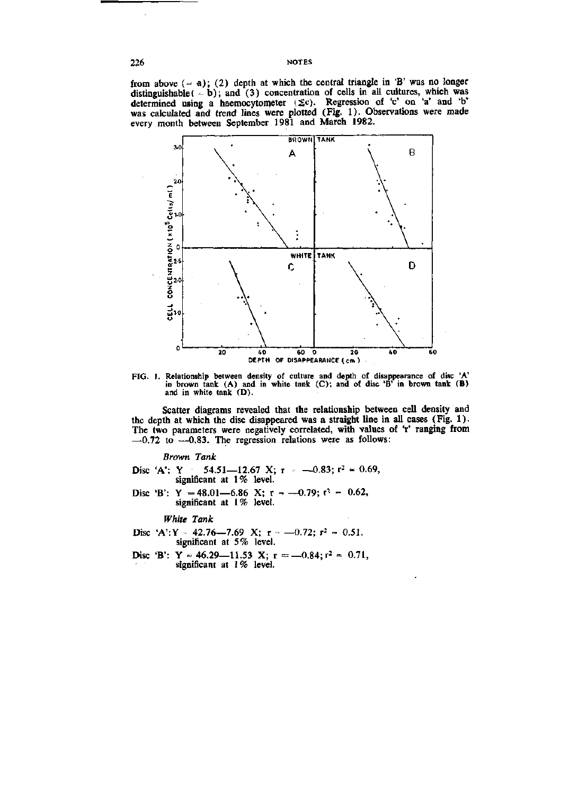from above  $(-a)$ ; (2) depth at which the central triangle in 'B' was no longer distinguishable  $(-b)$ ; and  $(3)$  concentration of cells in all cultures, which was determined using a haemocytometer  $(\Sigma c)$ . Regression of 'c' on 'a' and 'b' was calculated and trend lines were plotted (Fig. 1). Observations were made every month between September 1981 and March 1982.



FIG. 1. Relationship between density of culture and depth of disappearance of disc 'A' in brown tank (A) and in white tank (C); and of disc 'B' in brown tank (B) and in white tank (D).

Scatter diagrams revealed that the relationship between cell density and the depth at which the disc disappeared was a straight line in all cases (Fig. 1). The two parameters were negatively correlated, with values of 'r' ranging from  $-0.72$  to  $-0.83$ . The regression relations were as follows:

*Brown Tank* 

Disc 'A': Y 54.51-12.67 X; r  $\sim$  -0.83; r<sup>2</sup> = 0.69, significant at 1% level.

Disc 'B': Y = 48.01-6.86 X; r = -0.79;  $t^2$  = 0.62, significant at 1% level.

*White Tank* 

- Disc 'A':Y 42.76—7.69 X;  $r = -0.72$ ;  $r^2 = 0.51$ , significant at 5% level.
- Disc 'B': Y = 46.29-11.53 X;  $r = -0.84$ ;  $r^2 = 0.71$ , significant at 1% level.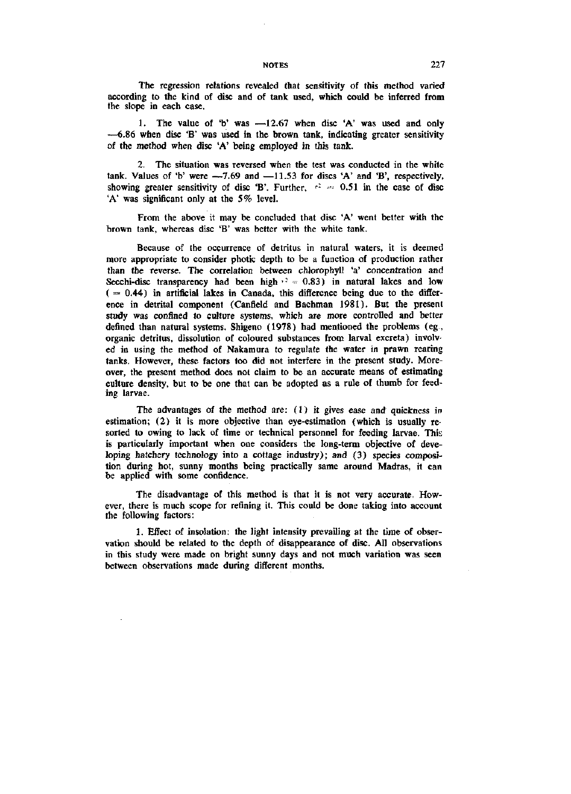#### NOTES 227

The regression relations revealed that sensitivity of this method varied according to the kind of disc and of tank used, which could be inferred from the slope in each case.

1. The value of 'b' was —12.67 when disc 'A' was used and only —6.86 when disc 'B' was used in the brown tank, indicating greater sensitivity of the method when disc 'A' being employed in this tank.

2. The situation was reversed when the test was conducted in the white tank. Values of 'b' were  $-7.69$  and  $-11.53$  for discs 'A' and 'B', respectively, showing greater sensitivity of disc 'B'. Further,  $r^2 = 0.51$  in the case of disc 'A' was significant only at the 5% level.

From the above it may be concluded that disc 'A' went better with the brown tank, whereas disc 'B' was better with the white tank.

Because of the occurrence of detritus in natural waters, it is deemed more appropriate to consider photic depth to be a function of production rather than the reverse. The correlation between chlorophyll 'a' concentration and Secchi-disc transparency had been high  $v^2 = 0.83$ ) in natural lakes and low  $( = 0.44)$  in artificial lakes in Canada, this difference being due to the difference in detrital component (Canfield and Bachman 1981). But the present study was confined to culture systems, which are more controlled and better defined than natural systems. Shigeno (1978) had mentioned the problems (eg., organic detritus, dissolution of coloured substances from larval excreta) involved in using the method of Nakamura to regulate the water in prawn rearing tanks. However, these factors too did not interfere in the present study. Moreover, the present method does not claim to be an accurate means of estimating culture density, but to be one that can be adopted as a rule of thumb for feeding larvae.

The advantages of the method are: (1) it gives ease and quickness in estimation; (2) it is more objective than eye-estimation (which is usually resorted to owing to lack of time or technical personnel for feeding larvae. This is particularly important when one considers the long-term objective of developing hatchery technology into a cottage industry); and (3) species composition during hot, sunny months being practically same around Madras, it can be applied with some confidence.

The disadvantage of this method is that it is not very accurate. However, there is much scope for refining it. This could be done taking into account the following factors:

1. Effect of insolation: the light intensity prevailing at the time of observation should be related to the depth of disappearance of disc. All observations in this study were made on bright sunny days and not much variation was seen between observations made during different months.